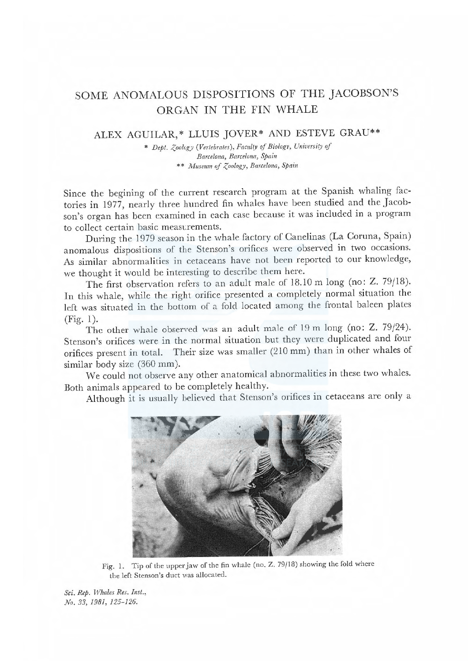## SOME ANOMALOUS DISPOSITIONS OF THE JACOBSON'S ORGAN IN THE FIN WHALE

## ALEX AGUILAR,\* LLUIS JOVER\* AND ESTEVE GRAU\*\*

\* Dept. Zoology (Vertebrates), Faculty of Biology, University of Barcelona, Barcelona, Spain \*\* Museum of Zoology, Barcelona, Spain

Since the begining of the current research program at the Spanish whaling factories in 1977, nearly three hundred fin whales have been studied and the Jacobson's organ has been examined in each case because it was included in a program to collect certain basic measurements.

During the 1979 season in the whale factory of Canelinas (La Coruna, Spain) anomalous dispositions of the Stenson's orifices were observed in two occasions. As similar abnormalities in cetaceans have not been reported to our knowledge, we thought it would be interesting to describe them here.

The first observation refers to an adult male of 18.10 m long (no: Z. 79/18). In this whale, while the right orifice presented a completely normal situation the left was situated in the bottom of a fold located among the frontal baleen plates  $(Fig. 1)$ .

The other whale observed was an adult male of 19 m long (no: Z. 79/24). Stenson's orifices were in the normal situation but they were duplicated and four orifices present in total. Their size was smaller (210 mm) than in other whales of similar body size (360 mm).

We could not observe any other anatomical abnormalities in these two whales. Both animals appeared to be completely healthy.

Although it is usually believed that Stenson's orifices in cetaceans are only a



Fig. 1. Tip of the upper jaw of the fin whale (no. Z. 79/18) showing the fold where the left Stenson's duct was allocated.

Sci. Rep. Whales Res. Inst., No. 33, 1981, 125-126.